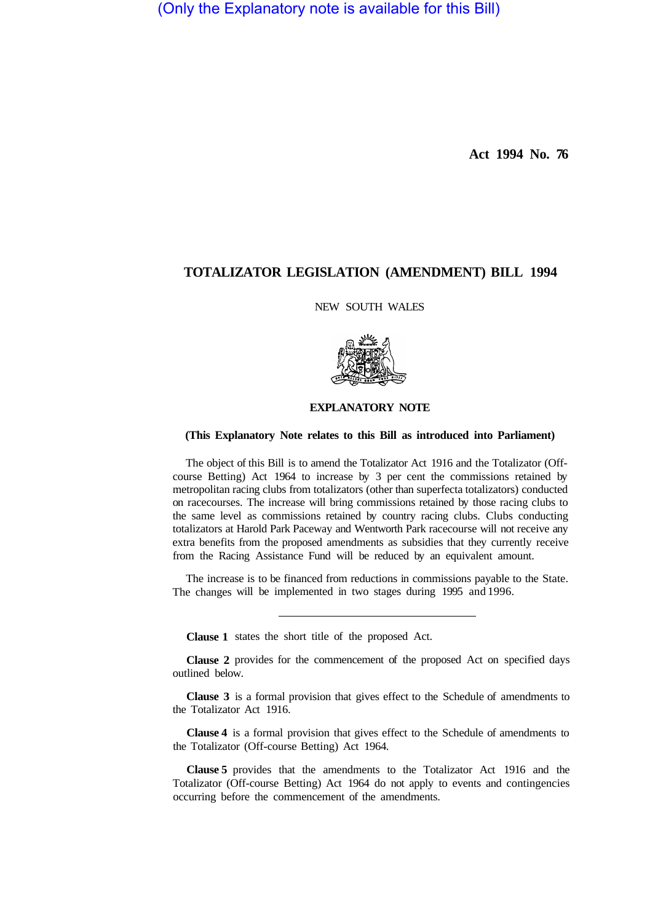(Only the Explanatory note is available for this Bill)

**Act 1994 No. 76** 

# **TOTALIZATOR LEGISLATION (AMENDMENT) BILL 1994**

## NEW SOUTH WALES



## **EXPLANATORY NOTE**

### **(This Explanatory Note relates to this Bill as introduced into Parliament)**

The object of this Bill is to amend the Totalizator Act 1916 and the Totalizator (Offcourse Betting) Act 1964 to increase by 3 per cent the commissions retained by metropolitan racing clubs from totalizators (other than superfecta totalizators) conducted on racecourses. The increase will bring commissions retained by those racing clubs to the same level as commissions retained by country racing clubs. Clubs conducting totalizators at Harold Park Paceway and Wentworth Park racecourse will not receive any extra benefits from the proposed amendments as subsidies that they currently receive from the Racing Assistance Fund will be reduced by an equivalent amount.

The increase is to be financed from reductions in commissions payable to the State. The changes will be implemented in two stages during 1995 and 1996.

**Clause 1**  states the short title of the proposed Act.

**Clause 2**  provides for the commencement of the proposed Act on specified days outlined below.

**Clause 3** is a formal provision that gives effect to the Schedule of amendments to the Totalizator Act 1916.

**Clause 4** is a formal provision that gives effect to the Schedule of amendments to the Totalizator (Off-course Betting) Act 1964.

**Clause 5** provides that the amendments to the Totalizator Act 1916 and the Totalizator (Off-course Betting) Act 1964 do not apply to events and contingencies occurring before the commencement of the amendments.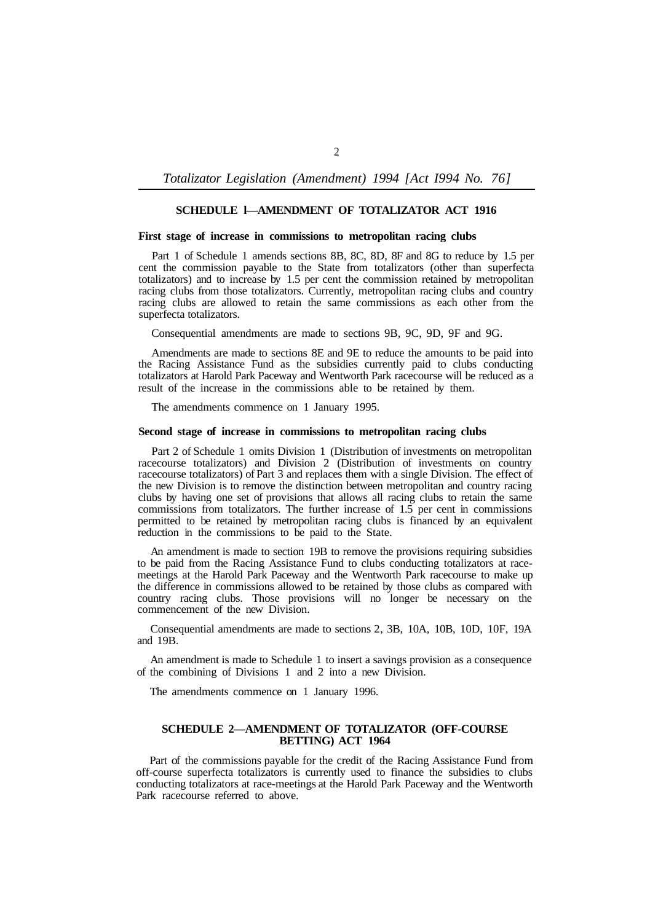*Totalizator Legislation (Amendment) 1994 [Act I994 No. 76]* 

### **SCHEDULE l—AMENDMENT OF TOTALIZATOR ACT 1916**

#### **First stage of increase in commissions to metropolitan racing clubs**

Part 1 of Schedule 1 amends sections 8B, 8C, 8D, 8F and 8G to reduce by 1.5 per cent the commission payable to the State from totalizators (other than superfecta totalizators) and to increase by 1.5 per cent the commission retained by metropolitan racing clubs from those totalizators. Currently, metropolitan racing clubs and country racing clubs are allowed to retain the same commissions as each other from the superfecta totalizators.

Consequential amendments are made to sections 9B, 9C, 9D, 9F and 9G.

Amendments are made to sections 8E and 9E to reduce the amounts to be paid into the Racing Assistance Fund as the subsidies currently paid to clubs conducting totalizators at Harold Park Paceway and Wentworth Park racecourse will be reduced as a result of the increase in the commissions able to be retained by them.

The amendments commence on 1 January 1995.

#### **Second stage of increase in commissions to metropolitan racing clubs**

Part 2 of Schedule 1 omits Division 1 (Distribution of investments on metropolitan racecourse totalizators) and Division 2 (Distribution of investments on country racecourse totalizators) of Part 3 and replaces them with a single Division. The effect of the new Division is to remove the distinction between metropolitan and country racing clubs by having one set of provisions that allows all racing clubs to retain the same commissions from totalizators. The further increase of 1.5 per cent in commissions permitted to be retained by metropolitan racing clubs is financed by an equivalent reduction in the commissions to be paid to the State.

An amendment is made to section 19B to remove the provisions requiring subsidies to be paid from the Racing Assistance Fund to clubs conducting totalizators at racemeetings at the Harold Park Paceway and the Wentworth Park racecourse to make up the difference in commissions allowed to be retained by those clubs as compared with country racing clubs. Those provisions will no longer be necessary on the commencement of the new Division.

Consequential amendments are made to sections 2, 3B, 10A, 10B, 10D, 10F, 19A and 19B.

An amendment is made to Schedule 1 to insert a savings provision as a consequence of the combining of Divisions 1 and 2 into a new Division.

The amendments commence on 1 January 1996.

#### **SCHEDULE 2—AMENDMENT OF TOTALIZATOR (OFF-COURSE BETTING) ACT 1964**

Part of the commissions payable for the credit of the Racing Assistance Fund from off-course superfecta totalizators is currently used to finance the subsidies to clubs conducting totalizators at race-meetings at the Harold Park Paceway and the Wentworth Park racecourse referred to above.